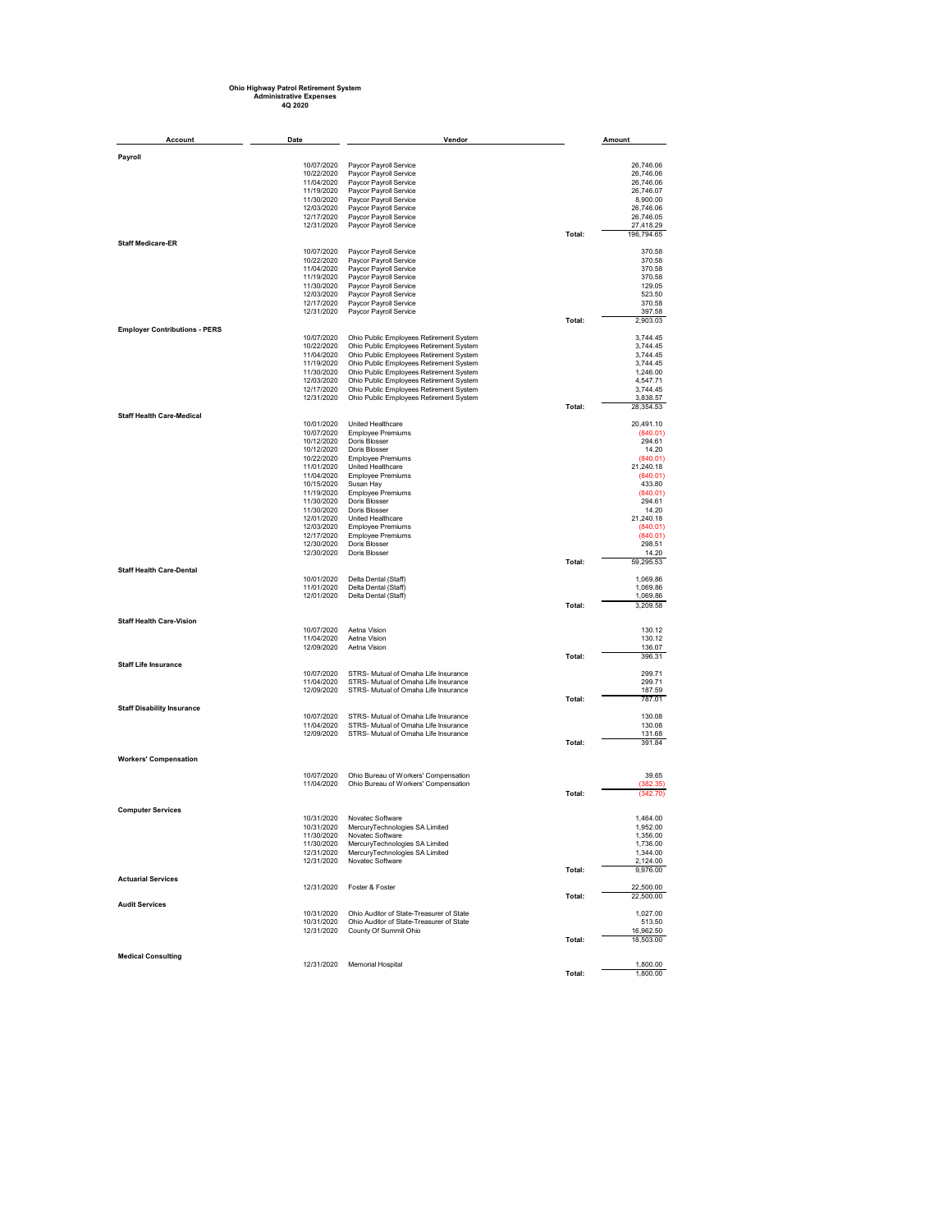## **Ohio Highway Patrol Retirement System Administrative Expenses 4Q 2020**

| Account                              | Date                     | Vendor                                                                               |        | Amount                 |
|--------------------------------------|--------------------------|--------------------------------------------------------------------------------------|--------|------------------------|
| Payroll                              |                          |                                                                                      |        |                        |
|                                      | 10/07/2020               | Paycor Payroll Service                                                               |        | 26,746.06              |
|                                      | 10/22/2020               | Paycor Payroll Service                                                               |        | 26,746.06              |
|                                      | 11/04/2020               | Paycor Payroll Service                                                               |        | 26,746.06              |
|                                      | 11/19/2020               | Paycor Payroll Service                                                               |        | 26,746.07              |
|                                      | 11/30/2020               | Paycor Payroll Service                                                               |        | 8,900.00               |
|                                      | 12/03/2020               | Paycor Payroll Service                                                               |        | 26,746.06              |
|                                      | 12/17/2020               | Paycor Payroll Service                                                               |        | 26,746.05<br>27,418.29 |
|                                      | 12/31/2020               | Paycor Payroll Service                                                               | Total: | 196,794.65             |
| <b>Staff Medicare-ER</b>             |                          |                                                                                      |        |                        |
|                                      | 10/07/2020               | Paycor Payroll Service                                                               |        | 370.58                 |
|                                      | 10/22/2020               | Paycor Payroll Service                                                               |        | 370.58                 |
|                                      | 11/04/2020               | Paycor Payroll Service                                                               |        | 370.58                 |
|                                      | 11/19/2020               | Paycor Payroll Service                                                               |        | 370.58                 |
|                                      | 11/30/2020               | Paycor Payroll Service                                                               |        | 129.05                 |
|                                      | 12/03/2020               | Paycor Payroll Service                                                               |        | 523.50                 |
|                                      | 12/17/2020<br>12/31/2020 | Paycor Payroll Service<br>Paycor Payroll Service                                     |        | 370.58<br>397.58       |
|                                      |                          |                                                                                      | Total: | 2,903.03               |
| <b>Employer Contributions - PERS</b> |                          |                                                                                      |        |                        |
|                                      | 10/07/2020               | Ohio Public Employees Retirement System                                              |        | 3.744.45               |
|                                      | 10/22/2020               | Ohio Public Employees Retirement System                                              |        | 3,744.45               |
|                                      | 11/04/2020               | Ohio Public Employees Retirement System                                              |        | 3,744.45               |
|                                      | 11/19/2020               | Ohio Public Employees Retirement System                                              |        | 3,744.45               |
|                                      | 11/30/2020               | Ohio Public Employees Retirement System                                              |        | 1,246.00               |
|                                      | 12/03/2020<br>12/17/2020 | Ohio Public Employees Retirement System                                              |        | 4,547.71<br>3,744.45   |
|                                      | 12/31/2020               | Ohio Public Employees Retirement System<br>Ohio Public Employees Retirement System   |        | 3,838.57               |
|                                      |                          |                                                                                      | Total: | 28,354.53              |
| <b>Staff Health Care-Medical</b>     |                          |                                                                                      |        |                        |
|                                      | 10/01/2020               | United Healthcare                                                                    |        | 20,491.10              |
|                                      | 10/07/2020               | <b>Employee Premiums</b>                                                             |        | (840.01)               |
|                                      | 10/12/2020               | Doris Blosser                                                                        |        | 294.61                 |
|                                      | 10/12/2020               | Doris Blosser                                                                        |        | 14.20                  |
|                                      | 10/22/2020               | <b>Employee Premiums</b><br>United Healthcare                                        |        | (840.01)               |
|                                      | 11/01/2020<br>11/04/2020 | <b>Employee Premiums</b>                                                             |        | 21,240.18<br>(840.01)  |
|                                      | 10/15/2020               | Susan Hay                                                                            |        | 433.80                 |
|                                      | 11/19/2020               | <b>Employee Premiums</b>                                                             |        | (840.01)               |
|                                      | 11/30/2020               | Doris Blosser                                                                        |        | 294.61                 |
|                                      | 11/30/2020               | Doris Blosser                                                                        |        | 14.20                  |
|                                      | 12/01/2020               | United Healthcare                                                                    |        | 21,240.18              |
|                                      | 12/03/2020               | <b>Employee Premiums</b>                                                             |        | (840.01)               |
|                                      | 12/17/2020               | <b>Employee Premiums</b>                                                             |        | (840.01)               |
|                                      | 12/30/2020               | Doris Blosser<br>Doris Blosser                                                       |        | 298.51                 |
|                                      | 12/30/2020               |                                                                                      | Total: | 14.20<br>59,295.53     |
| <b>Staff Health Care-Dental</b>      |                          |                                                                                      |        |                        |
|                                      | 10/01/2020               | Delta Dental (Staff)                                                                 |        | 1,069.86               |
|                                      | 11/01/2020               | Delta Dental (Staff)                                                                 |        | 1,069.86               |
|                                      | 12/01/2020               | Delta Dental (Staff)                                                                 |        | 1,069.86               |
|                                      |                          |                                                                                      | Total: | 3,209.58               |
| <b>Staff Health Care-Vision</b>      |                          |                                                                                      |        |                        |
|                                      | 10/07/2020               | Aetna Vision                                                                         |        | 130.12                 |
|                                      | 11/04/2020               | Aetna Vision                                                                         |        | 130.12                 |
|                                      | 12/09/2020               | Aetna Vision                                                                         |        | 136.07                 |
|                                      |                          |                                                                                      | Total: | 396.31                 |
| <b>Staff Life Insurance</b>          |                          |                                                                                      |        |                        |
|                                      | 10/07/2020               | STRS- Mutual of Omaha Life Insurance                                                 |        | 299.71                 |
|                                      | 11/04/2020               | STRS- Mutual of Omaha Life Insurance                                                 |        | 299.71                 |
|                                      | 12/09/2020               | STRS- Mutual of Omaha Life Insurance                                                 | Total: | 187.59<br>787.01       |
| <b>Staff Disability Insurance</b>    |                          |                                                                                      |        |                        |
|                                      | 10/07/2020               | STRS- Mutual of Omaha Life Insurance                                                 |        | 130.08                 |
|                                      | 11/04/2020               | STRS- Mutual of Omaha Life Insurance                                                 |        | 130.08                 |
|                                      | 12/09/2020               | STRS- Mutual of Omaha Life Insurance                                                 |        | 131.68                 |
|                                      |                          |                                                                                      | Total: | 391.84                 |
| <b>Workers' Compensation</b>         |                          |                                                                                      |        |                        |
|                                      |                          |                                                                                      |        |                        |
|                                      | 10/07/2020               | Ohio Bureau of Workers' Compensation                                                 |        | 39.65                  |
|                                      | 11/04/2020               | Ohio Bureau of Workers' Compensation                                                 |        | (382.35)               |
|                                      |                          |                                                                                      | Total: | (342.70)               |
|                                      |                          |                                                                                      |        |                        |
| <b>Computer Services</b>             |                          | Novatec Software                                                                     |        |                        |
|                                      | 10/31/2020<br>10/31/2020 | MercuryTechnologies SA Limited                                                       |        | 1,464.00<br>1.952.00   |
|                                      | 11/30/2020               | Novatec Software                                                                     |        | 1,356.00               |
|                                      | 11/30/2020               | MercuryTechnologies SA Limited                                                       |        | 1,736.00               |
|                                      | 12/31/2020               | MercuryTechnologies SA Limited                                                       |        | 1,344.00               |
|                                      | 12/31/2020               | Novatec Software                                                                     |        | 2,124.00               |
|                                      |                          |                                                                                      | Total: | 9,976.00               |
| <b>Actuarial Services</b>            |                          |                                                                                      |        |                        |
|                                      | 12/31/2020               | Foster & Foster                                                                      |        | 22,500.00              |
|                                      |                          |                                                                                      | Total: | 22,500.00              |
| <b>Audit Services</b>                |                          |                                                                                      |        |                        |
|                                      | 10/31/2020<br>10/31/2020 | Ohio Auditor of State-Treasurer of State<br>Ohio Auditor of State-Treasurer of State |        | 1,027.00<br>513.50     |
|                                      | 12/31/2020               | County Of Summit Ohio                                                                |        | 16,962.50              |
|                                      |                          |                                                                                      | Total: | 18,503.00              |
|                                      |                          |                                                                                      |        |                        |
| <b>Medical Consulting</b>            |                          |                                                                                      |        |                        |
|                                      | 12/31/2020               | Memorial Hospital                                                                    |        | 1,800.00               |
|                                      |                          |                                                                                      | Total: | 1,800.00               |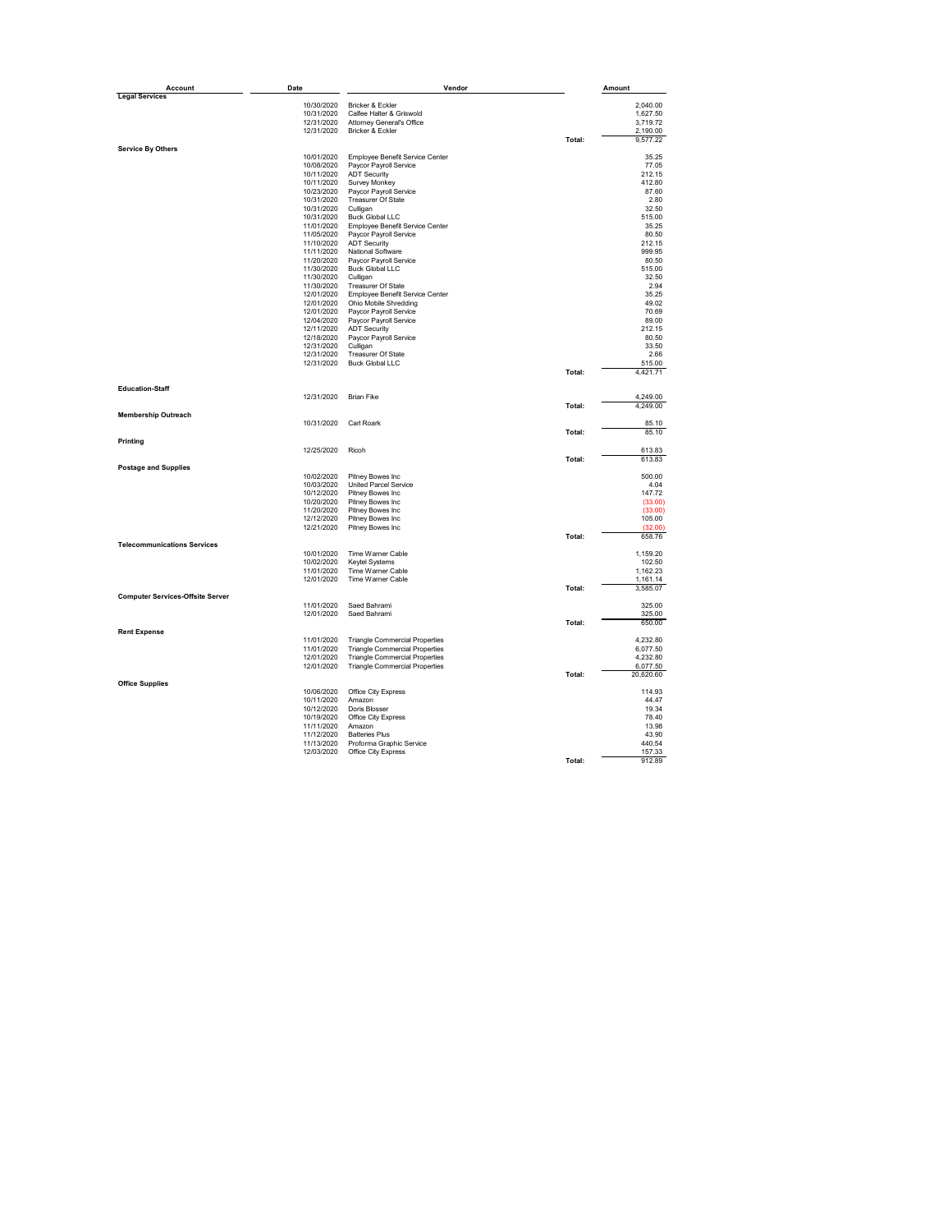| Account                                 | Date       | Vendor                                |        | Amount                |
|-----------------------------------------|------------|---------------------------------------|--------|-----------------------|
| <b>Legal Services</b>                   |            |                                       |        |                       |
|                                         | 10/30/2020 | Bricker & Eckler                      |        | 2,040.00              |
|                                         | 10/31/2020 | Calfee Halter & Griswold              |        | 1.627.50              |
|                                         | 12/31/2020 | Attorney General's Office             |        | 3,719.72              |
|                                         | 12/31/2020 | Bricker & Eckler                      |        | 2,190.00              |
|                                         |            |                                       | Total: | 9,577.22              |
| <b>Service By Others</b>                | 10/01/2020 | Employee Benefit Service Center       |        | 35.25                 |
|                                         |            |                                       |        | 77.05                 |
|                                         | 10/08/2020 | Paycor Payroll Service                |        |                       |
|                                         | 10/11/2020 | <b>ADT Security</b>                   |        | 212.15                |
|                                         | 10/11/2020 | Survey Monkey                         |        | 412.80                |
|                                         | 10/23/2020 | Paycor Payroll Service                |        | 87.60                 |
|                                         | 10/31/2020 | Treasurer Of State                    |        | 2.80                  |
|                                         | 10/31/2020 | Culligan                              |        | 32.50                 |
|                                         | 10/31/2020 | <b>Buck Global LLC</b>                |        | 515.00                |
|                                         | 11/01/2020 | Employee Benefit Service Center       |        | 35.25                 |
|                                         |            | Paycor Payroll Service                |        | 80.50                 |
|                                         | 11/05/2020 |                                       |        |                       |
|                                         | 11/10/2020 | <b>ADT Security</b>                   |        | 212.15                |
|                                         | 11/11/2020 | National Software                     |        | 999.95                |
|                                         | 11/20/2020 | Paycor Payroll Service                |        | 80.50                 |
|                                         | 11/30/2020 | <b>Buck Global LLC</b>                |        | 515.00                |
|                                         | 11/30/2020 | Culligan                              |        | 32.50                 |
|                                         | 11/30/2020 | Treasurer Of State                    |        | 2.94                  |
|                                         |            |                                       |        |                       |
|                                         | 12/01/2020 | Employee Benefit Service Center       |        | 35.25                 |
|                                         | 12/01/2020 | Ohio Mobile Shredding                 |        | 49.02                 |
|                                         | 12/01/2020 | Paycor Payroll Service                |        | 70.69                 |
|                                         | 12/04/2020 | Paycor Payroll Service                |        | 89.00                 |
|                                         | 12/11/2020 | <b>ADT Security</b>                   |        | 212.15                |
|                                         | 12/18/2020 | Paycor Payroll Service                |        | 80.50                 |
|                                         |            |                                       |        |                       |
|                                         | 12/31/2020 | Culligan                              |        | 33.50                 |
|                                         | 12/31/2020 | Treasurer Of State                    |        | 2.66                  |
|                                         | 12/31/2020 | <b>Buck Global LLC</b>                |        | 515.00                |
|                                         |            |                                       | Total: | 4,421.71              |
| <b>Education-Staff</b>                  |            |                                       |        |                       |
|                                         | 12/31/2020 | <b>Brian Fike</b>                     |        | 4.249.00              |
|                                         |            |                                       | Total: | 4,249.00              |
|                                         |            |                                       |        |                       |
| <b>Membership Outreach</b>              |            |                                       |        |                       |
|                                         | 10/31/2020 | Carl Roark                            |        | 85.10                 |
|                                         |            |                                       | Total: | 85.10                 |
| Printing                                |            |                                       |        |                       |
|                                         | 12/25/2020 | Ricoh                                 |        | 613.83                |
|                                         |            |                                       | Total: | 613.83                |
| <b>Postage and Supplies</b>             |            |                                       |        |                       |
|                                         | 10/02/2020 | Pitney Bowes Inc                      |        | 500.00                |
|                                         | 10/03/2020 | United Parcel Service                 |        | 4.04                  |
|                                         |            |                                       |        |                       |
|                                         | 10/12/2020 | Pitney Bowes Inc                      |        | 147.72                |
|                                         | 10/20/2020 | Pitney Bowes Inc                      |        | (33.00)               |
|                                         | 11/20/2020 | Pitney Bowes Inc                      |        | (33.00)               |
|                                         | 12/12/2020 | Pitney Bowes Inc                      |        | 105.00                |
|                                         | 12/21/2020 | Pitney Bowes Inc                      |        | (32.00)               |
|                                         |            |                                       | Total: | 658.76                |
| <b>Telecommunications Services</b>      |            |                                       |        |                       |
|                                         | 10/01/2020 | Time Warner Cable                     |        | 1,159.20              |
|                                         | 10/02/2020 | Keytel Systems                        |        | 102.50                |
|                                         | 11/01/2020 | Time Warner Cable                     |        | 1,162.23              |
|                                         | 12/01/2020 | Time Warner Cable                     |        | 1,161.14              |
|                                         |            |                                       |        |                       |
| <b>Computer Services-Offsite Server</b> |            |                                       | Total: | 3,585.07              |
|                                         | 11/01/2020 | Saed Bahrami                          |        | 325.00                |
|                                         | 12/01/2020 | Saed Bahrami                          |        | 325.00                |
|                                         |            |                                       | Total: | 650.00                |
| <b>Rent Expense</b>                     |            |                                       |        |                       |
|                                         | 11/01/2020 | <b>Triangle Commercial Properties</b> |        | 4,232.80              |
|                                         | 11/01/2020 | <b>Triangle Commercial Properties</b> |        | 6,077.50              |
|                                         |            |                                       |        |                       |
|                                         | 12/01/2020 | <b>Triangle Commercial Properties</b> |        | 4,232.80              |
|                                         | 12/01/2020 | <b>Triangle Commercial Properties</b> | Total: | 6,077.50<br>20,620.60 |
| <b>Office Supplies</b>                  |            |                                       |        |                       |
|                                         | 10/06/2020 | Office City Express                   |        | 114.93                |
|                                         | 10/11/2020 | Amazon                                |        | 44.47                 |
|                                         | 10/12/2020 | Doris Blosser                         |        | 19.34                 |
|                                         |            |                                       |        | 78.40                 |
|                                         | 10/19/2020 | Office City Express<br>Amazon         |        | 13.98                 |
|                                         |            |                                       |        |                       |
|                                         | 11/11/2020 |                                       |        |                       |
|                                         | 11/12/2020 | <b>Batteries Plus</b>                 |        | 43.90                 |
|                                         | 11/13/2020 | Proforma Graphic Service              |        | 440.54                |
|                                         | 12/03/2020 | Office City Express                   |        | 157.33                |